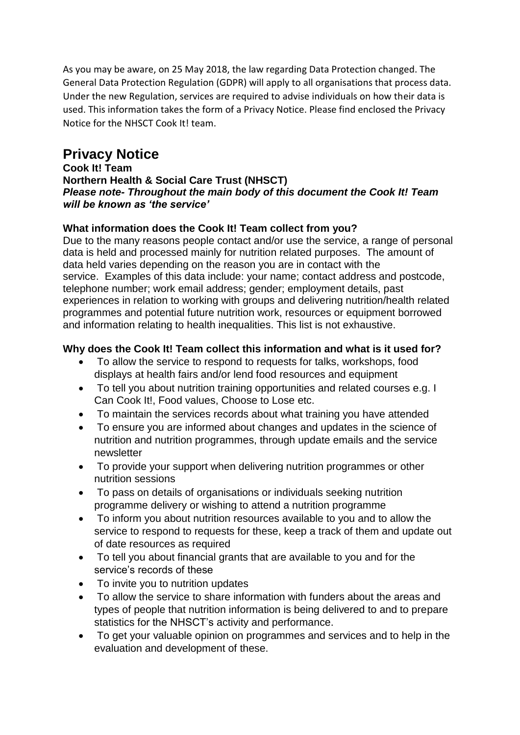As you may be aware, on 25 May 2018, the law regarding Data Protection changed. The General Data Protection Regulation (GDPR) will apply to all organisations that process data. Under the new Regulation, services are required to advise individuals on how their data is used. This information takes the form of a Privacy Notice. Please find enclosed the Privacy Notice for the NHSCT Cook It! team.

# **Privacy Notice**

#### **Cook It! Team Northern Health & Social Care Trust (NHSCT)**  *Please note- Throughout the main body of this document the Cook It! Team will be known as 'the service'*

# **What information does the Cook It! Team collect from you?**

Due to the many reasons people contact and/or use the service, a range of personal data is held and processed mainly for nutrition related purposes. The amount of data held varies depending on the reason you are in contact with the service. Examples of this data include: your name; contact address and postcode, telephone number; work email address; gender; employment details, past experiences in relation to working with groups and delivering nutrition/health related programmes and potential future nutrition work, resources or equipment borrowed and information relating to health inequalities. This list is not exhaustive.

# **Why does the Cook It! Team collect this information and what is it used for?**

- To allow the service to respond to requests for talks, workshops, food displays at health fairs and/or lend food resources and equipment
- To tell you about nutrition training opportunities and related courses e.g. I Can Cook It!, Food values, Choose to Lose etc.
- To maintain the services records about what training you have attended
- To ensure you are informed about changes and updates in the science of nutrition and nutrition programmes, through update emails and the service newsletter
- To provide your support when delivering nutrition programmes or other nutrition sessions
- To pass on details of organisations or individuals seeking nutrition programme delivery or wishing to attend a nutrition programme
- To inform you about nutrition resources available to you and to allow the service to respond to requests for these, keep a track of them and update out of date resources as required
- To tell you about financial grants that are available to you and for the service's records of these
- To invite you to nutrition updates
- To allow the service to share information with funders about the areas and types of people that nutrition information is being delivered to and to prepare statistics for the NHSCT's activity and performance.
- To get your valuable opinion on programmes and services and to help in the evaluation and development of these.